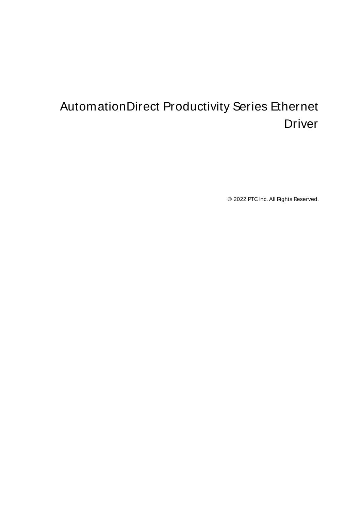# <span id="page-0-0"></span>AutomationDirect Productivity Series Ethernet Driver

© 2022 PTC Inc. All Rights Reserved.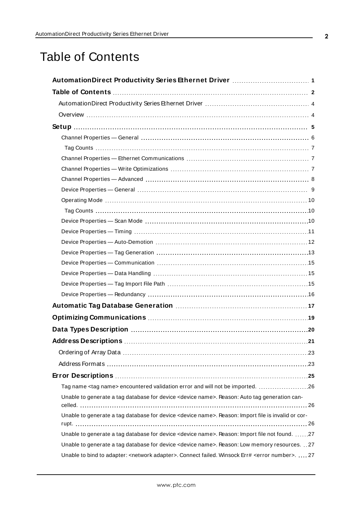## <span id="page-1-0"></span>Table of Contents

| Tag name <tag name=""> encountered validation error and will not be imported. 26</tag>                                 |
|------------------------------------------------------------------------------------------------------------------------|
| Unable to generate a tag database for device <device name="">. Reason: Auto tag generation can-</device>               |
| Unable to generate a tag database for device <device name="">. Reason: Import file is invalid or cor-</device>         |
|                                                                                                                        |
| Unable to generate a tag database for device <device name="">. Reason: Import file not found. 27</device>              |
| Unable to generate a tag database for device <device name="">. Reason: Low memory resources. 27</device>               |
| Unable to bind to adapter: <network adapter="">. Connect failed. Winsock Err# <error number="">.  27</error></network> |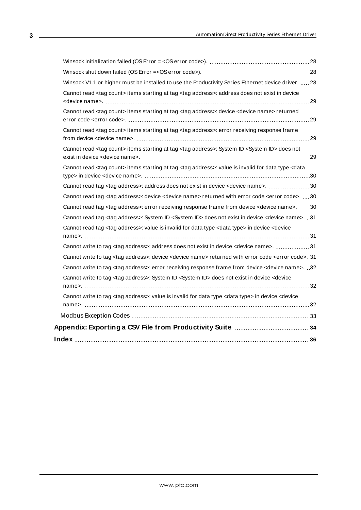| Winsock V1.1 or higher must be installed to use the Productivity Series Ethernet device driver.  28                                           |  |
|-----------------------------------------------------------------------------------------------------------------------------------------------|--|
| Cannot read <tag count=""> items starting at tag <tag address="">: address does not exist in device</tag></tag>                               |  |
| Cannot read <tag count=""> items starting at tag <tag address="">: device <device name=""> returned</device></tag></tag>                      |  |
| Cannot read <tag count=""> items starting at tag <tag address="">: error receiving response frame</tag></tag>                                 |  |
| Cannot read <tag count=""> items starting at tag <tag address="">: System ID <system id=""> does not</system></tag></tag>                     |  |
| Cannot read <tag count=""> items starting at tag <tag address="">: value is invalid for data type <data< td=""><td></td></data<></tag></tag>  |  |
| Cannot read tag <tag address="">: address does not exist in device <device name="">. 30</device></tag>                                        |  |
| Cannot read tag <tag address="">: device <device name=""> returned with error code <error code="">. 30</error></device></tag>                 |  |
| Cannot read tag <tag address="">: error receiving response frame from device <device name="">. 30</device></tag>                              |  |
| Cannot read tag <tag address="">: System ID <system id=""> does not exist in device <device name="">. . 31</device></system></tag>            |  |
| Cannot read tag <tag address="">: value is invalid for data type <data type=""> in device <device< td=""><td></td></device<></data></tag>     |  |
| Cannot write to tag <tag address="">: address does not exist in device <device name="">. 31</device></tag>                                    |  |
| Cannot write to tag <tag address="">: device <device name=""> returned with error code <error code="">. 31</error></device></tag>             |  |
| Cannot write to tag <tag address="">: error receiving response frame from device <device name="">. .32</device></tag>                         |  |
| Cannot write to tag <tag address="">: System ID <system id=""> does not exist in device <device< td=""><td></td></device<></system></tag>     |  |
| Cannot write to tag <tag address="">: value is invalid for data type <data type=""> in device <device< td=""><td></td></device<></data></tag> |  |
|                                                                                                                                               |  |
|                                                                                                                                               |  |
|                                                                                                                                               |  |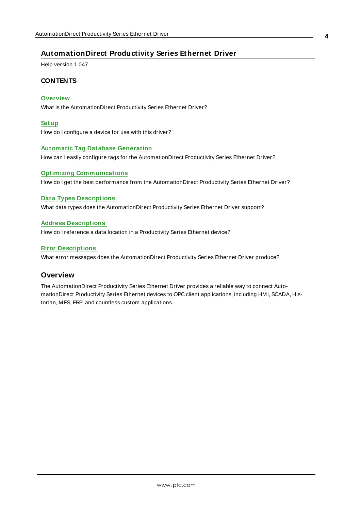### <span id="page-3-0"></span>**AutomationDirect Productivity Series Ethernet Driver**

Help version 1.047

### **CONTENTS**

#### **[Overview](#page-3-1)**

What is the AutomationDirect Productivity Series Ethernet Driver?

#### **[Setup](#page-4-0)**

How do I configure a device for use with this driver?

#### **Automatic Tag Database [Generation](#page-16-0)**

How can I easily configure tags for the AutomationDirect Productivity Series Ethernet Driver?

#### **Optimizing [Communications](#page-18-0)**

How do I get the best performance from the AutomationDirect Productivity Series Ethernet Driver?

#### **Data Types [Descriptions](#page-19-0)**

What data types does the AutomationDirect Productivity Series Ethernet Driver support?

#### **Address [Descriptions](#page-20-0)**

How do I reference a data location in a Productivity Series Ethernet device?

#### **Error [Descriptions](#page-24-0)**

<span id="page-3-1"></span>What error messages does the AutomationDirect Productivity Series Ethernet Driver produce?

#### **Overview**

The AutomationDirect Productivity Series Ethernet Driver provides a reliable way to connect AutomationDirect Productivity Series Ethernet devices to OPC client applications, including HMI, SCADA, Historian, MES, ERP, and countless custom applications.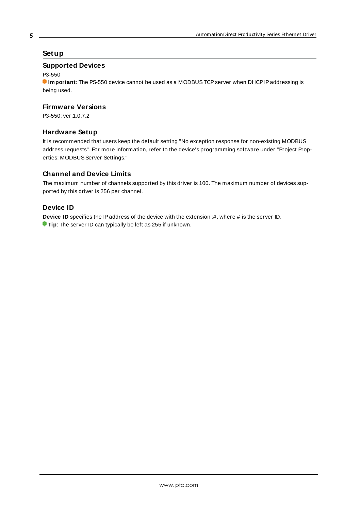### <span id="page-4-0"></span>**Setup**

### **Supported Devices**

P3-550

**Important:** The PS-550 device cannot be used as a MODBUS TCP server when DHCP IP addressing is being used.

### **Firmware Versions**

P3-550: ver.1.0.7.2

### **Hardware Setup**

It is recommended that users keep the default setting "No exception response for non-existing MODBUS address requests". For more information, refer to the device's programming software under "Project Properties: MODBUS Server Settings."

### **Channel and Device Limits**

The maximum number of channels supported by this driver is 100. The maximum number of devices supported by this driver is 256 per channel.

### **Device ID**

<span id="page-4-1"></span>**Device ID** specifies the IP address of the device with the extension :#, where # is the server ID. **Tip**: The server ID can typically be left as 255 if unknown.

#### **5**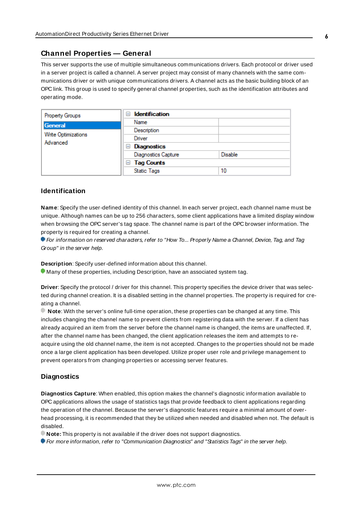#### <span id="page-5-0"></span>**Channel Properties — General**

This server supports the use of multiple simultaneous communications drivers. Each protocol or driver used in a server project is called a channel. A server project may consist of many channels with the same communications driver or with unique communications drivers. A channel acts as the basic building block of an OPC link. This group is used to specify general channel properties, such as the identification attributes and operating mode.

| Property Groups                        | <b>Identification</b><br>н |                |
|----------------------------------------|----------------------------|----------------|
| General                                | Name                       |                |
| <b>Write Optimizations</b><br>Advanced | Description                |                |
|                                        | Driver                     |                |
|                                        | Diagnostics<br>$=$         |                |
|                                        | <b>Diagnostics Capture</b> | <b>Disable</b> |
|                                        | <b>Tag Counts</b><br>$=$   |                |
|                                        | <b>Static Tags</b>         | 10             |

#### <span id="page-5-2"></span>**Identification**

**Name**: Specify the user-defined identity of this channel. In each server project, each channel name must be unique. Although names can be up to 256 characters, some client applications have a limited display window when browsing the OPC server's tag space. The channel name is part of the OPC browser information. The property is required for creating a channel.

For information on reserved characters, refer to "How To... Properly Name a Channel, Device, Tag, and Tag Group" in the server help.

**Description**: Specify user-defined information about this channel.

Many of these properties, including Description, have an associated system tag.

**Driver**: Specify the protocol / driver for this channel. This property specifies the device driver that was selected during channel creation. It is a disabled setting in the channel properties. The property is required for creating a channel.

**Note**: With the server's online full-time operation, these properties can be changed at any time. This includes changing the channel name to prevent clients from registering data with the server. If a client has already acquired an item from the server before the channel name is changed, the items are unaffected. If, after the channel name has been changed, the client application releases the item and attempts to reacquire using the old channel name, the item is not accepted. Changes to the properties should not be made once a large client application has been developed. Utilize proper user role and privilege management to prevent operators from changing properties or accessing server features.

#### <span id="page-5-1"></span>**Diagnostics**

**Diagnostics Capture**: When enabled, this option makes the channel's diagnostic information available to OPC applications allows the usage of statistics tags that provide feedback to client applications regarding the operation of the channel. Because the server's diagnostic features require a minimal amount of overhead processing, it is recommended that they be utilized when needed and disabled when not. The default is disabled.

**Note:** This property is not available if the driver does not support diagnostics.

**For more information, refer to "Communication Diagnostics" and "Statistics Tags" in the server help.**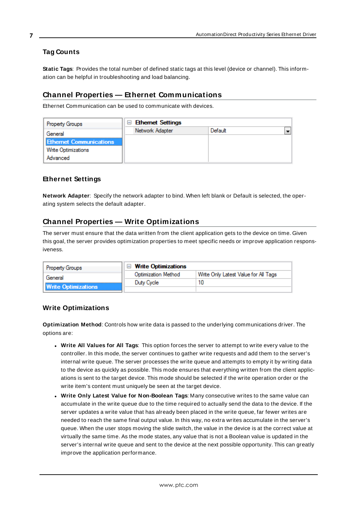### <span id="page-6-0"></span>**Tag Counts**

**Static Tags**: Provides the total number of defined static tags at this level (device or channel). This information can be helpful in troubleshooting and load balancing.

### <span id="page-6-1"></span>**Channel Properties — Ethernet Communications**

Ethernet Communication can be used to communicate with devices.

| <b>Property Groups</b>         | $\Box$ Ethernet Settings |         |  |
|--------------------------------|--------------------------|---------|--|
| General                        | Network Adapter          | Default |  |
| <b>Ethernet Communications</b> |                          |         |  |
| <b>Write Optimizations</b>     |                          |         |  |
| Advanced                       |                          |         |  |

### <span id="page-6-5"></span><span id="page-6-4"></span>**Ethernet Settings**

**Network Adapter**: Specify the network adapter to bind. When left blank or Default is selected, the operating system selects the default adapter.

### <span id="page-6-2"></span>**Channel Properties — Write Optimizations**

The server must ensure that the data written from the client application gets to the device on time. Given this goal, the server provides optimization properties to meet specific needs or improve application responsiveness.

| <b>Property Groups</b>     | $\Box$ Write Optimizations |                                      |
|----------------------------|----------------------------|--------------------------------------|
| General                    | <b>Optimization Method</b> | Write Only Latest Value for All Tags |
|                            | Duty Cycle                 | 10                                   |
| <b>Write Optimizations</b> |                            |                                      |

### <span id="page-6-3"></span>**Write Optimizations**

<span id="page-6-6"></span>**Optimization Method**: Controls how write data is passed to the underlying communications driver. The options are:

- <span id="page-6-7"></span><sup>l</sup> **Write All Values for All Tags**: This option forces the server to attempt to write every value to the controller. In this mode, the server continues to gather write requests and add them to the server's internal write queue. The server processes the write queue and attempts to empty it by writing data to the device as quickly as possible. This mode ensures that everything written from the client applications is sent to the target device. This mode should be selected if the write operation order or the write item's content must uniquely be seen at the target device.
- <span id="page-6-8"></span><sup>l</sup> **Write Only Latest Value for Non-Boolean Tags**: Many consecutive writes to the same value can accumulate in the write queue due to the time required to actually send the data to the device. If the server updates a write value that has already been placed in the write queue, far fewer writes are needed to reach the same final output value. In this way, no extra writes accumulate in the server's queue. When the user stops moving the slide switch, the value in the device is at the correct value at virtually the same time. As the mode states, any value that is not a Boolean value is updated in the server's internal write queue and sent to the device at the next possible opportunity. This can greatly improve the application performance.

**7**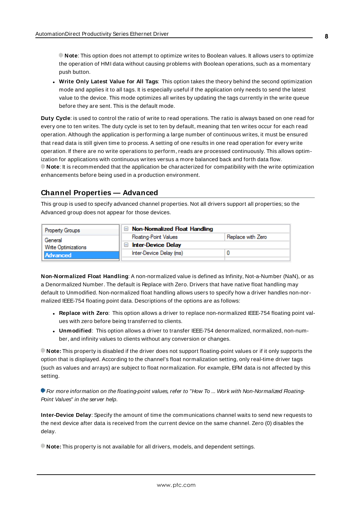**Note**: This option does not attempt to optimize writes to Boolean values. It allows users to optimize the operation of HMI data without causing problems with Boolean operations, such as a momentary push button.

<span id="page-7-6"></span><sup>l</sup> **Write Only Latest Value for All Tags**: This option takes the theory behind the second optimization mode and applies it to all tags. It is especially useful if the application only needs to send the latest value to the device. This mode optimizes all writes by updating the tags currently in the write queue before they are sent. This is the default mode.

<span id="page-7-1"></span>**Duty Cycle**: is used to control the ratio of write to read operations. The ratio is always based on one read for every one to ten writes. The duty cycle is set to ten by default, meaning that ten writes occur for each read operation. Although the application is performing a large number of continuous writes, it must be ensured that read data is still given time to process. A setting of one results in one read operation for every write operation. If there are no write operations to perform, reads are processed continuously. This allows optimization for applications with continuous writes versus a more balanced back and forth data flow. **Note**: It is recommended that the application be characterized for compatibility with the write optimization enhancements before being used in a production environment.

### <span id="page-7-0"></span>**Channel Properties — Advanced**

This group is used to specify advanced channel properties. Not all drivers support all properties; so the Advanced group does not appear for those devices.

| <b>Property Groups</b>                | $\Box$ Non-Normalized Float Handling |                   |
|---------------------------------------|--------------------------------------|-------------------|
| General<br><b>Write Optimizations</b> | <b>Floating-Point Values</b>         | Replace with Zero |
|                                       | $\Box$ Inter-Device Delay            |                   |
| Advanced                              | Inter-Device Delay (ms)              |                   |
|                                       |                                      |                   |

<span id="page-7-3"></span>**Non-Normalized Float Handling**: A non-normalized value is defined as Infinity, Not-a-Number (NaN), or as a Denormalized Number. The default is Replace with Zero. Drivers that have native float handling may default to Unmodified. Non-normalized float handling allows users to specify how a driver handles non-normalized IEEE-754 floating point data. Descriptions of the options are as follows:

- <span id="page-7-4"></span><sup>l</sup> **Replace with Zero**: This option allows a driver to replace non-normalized IEEE-754 floating point values with zero before being transferred to clients.
- <span id="page-7-5"></span><sup>l</sup> **Unmodified**: This option allows a driver to transfer IEEE-754 denormalized, normalized, non-number, and infinity values to clients without any conversion or changes.

**Note:** This property is disabled if the driver does not support floating-point values or if it only supports the option that is displayed. According to the channel's float normalization setting, only real-time driver tags (such as values and arrays) are subject to float normalization. For example, EFM data is not affected by this setting.

**• For more information on the floating-point values, refer to "How To ... Work with Non-Normalized Floating-**Point Values" in the server help.

<span id="page-7-2"></span>**Inter-Device Delay**: Specify the amount of time the communications channel waits to send new requests to the next device after data is received from the current device on the same channel. Zero (0) disables the delay.

**Note:** This property is not available for all drivers, models, and dependent settings.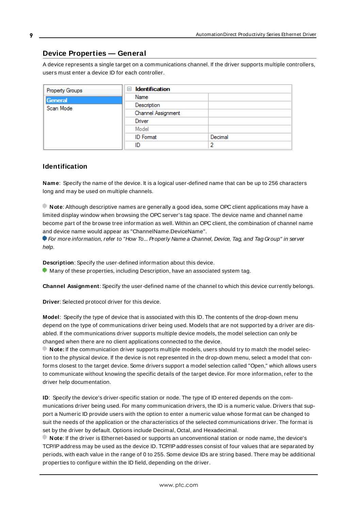### <span id="page-8-0"></span>**Device Properties — General**

A device represents a single target on a communications channel. If the driver supports multiple controllers, users must enter a device ID for each controller.

| Property Groups | <b>Identification</b><br>$=$ |         |
|-----------------|------------------------------|---------|
| General         | Name                         |         |
| Scan Mode       | Description                  |         |
|                 | Channel Assignment           |         |
|                 | Driver                       |         |
|                 | Model                        |         |
|                 | <b>ID</b> Format             | Decimal |
|                 | ID                           | 2       |

### <span id="page-8-6"></span><span id="page-8-4"></span>**Identification**

**Name**: Specify the name of the device. It is a logical user-defined name that can be up to 256 characters long and may be used on multiple channels.

**Note**: Although descriptive names are generally a good idea, some OPC client applications may have a limited display window when browsing the OPC server's tag space. The device name and channel name become part of the browse tree information as well. Within an OPC client, the combination of channel name and device name would appear as "ChannelName.DeviceName".

For more information, refer to "How To... Properly Name a Channel, Device, Tag, and Tag Group" in server help.

**Description**: Specify the user-defined information about this device.

<span id="page-8-1"></span>**Many of these properties, including Description, have an associated system tag.** 

<span id="page-8-2"></span>**Channel Assignment**: Specify the user-defined name of the channel to which this device currently belongs.

<span id="page-8-5"></span>**Driver**: Selected protocol driver for this device.

**Model**: Specify the type of device that is associated with this ID. The contents of the drop-down menu depend on the type of communications driver being used. Models that are not supported by a driver are disabled. If the communications driver supports multiple device models, the model selection can only be changed when there are no client applications connected to the device.

**Note:** If the communication driver supports multiple models, users should try to match the model selection to the physical device. If the device is not represented in the drop-down menu, select a model that conforms closest to the target device. Some drivers support a model selection called "Open," which allows users to communicate without knowing the specific details of the target device. For more information, refer to the driver help documentation.

<span id="page-8-3"></span>**ID**: Specify the device's driver-specific station or node. The type of ID entered depends on the communications driver being used. For many communication drivers, the ID is a numeric value. Drivers that support a Numeric ID provide users with the option to enter a numeric value whose format can be changed to suit the needs of the application or the characteristics of the selected communications driver. The format is set by the driver by default. Options include Decimal, Octal, and Hexadecimal.

**Note**: If the driver is Ethernet-based or supports an unconventional station or node name, the device's TCP/IPaddress may be used as the device ID. TCP/IPaddresses consist of four values that are separated by periods, with each value in the range of 0 to 255. Some device IDs are string based. There may be additional properties to configure within the ID field, depending on the driver.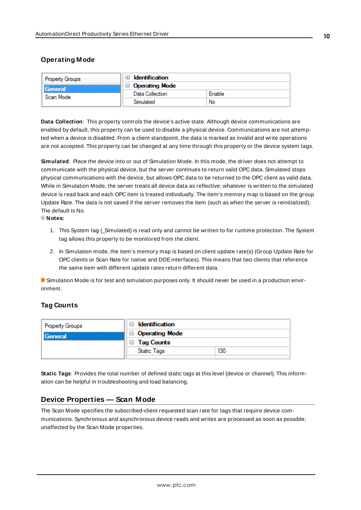### <span id="page-9-0"></span>**Operating Mode**

| <b>Property Groups</b> | Identification        |        |
|------------------------|-----------------------|--------|
| General<br>Scan Mode   | <b>Operating Mode</b> |        |
|                        | Data Collection       | Enable |
|                        | Simulated             | No     |

<span id="page-9-3"></span>**Data Collection**: This property controls the device's active state. Although device communications are enabled by default, this property can be used to disable a physical device. Communications are not attempted when a device is disabled. From a client standpoint, the data is marked as invalid and write operations are not accepted. This property can be changed at any time through this property or the device system tags.

<span id="page-9-4"></span>**Simulated**: Place the device into or out of Simulation Mode. In this mode, the driver does not attempt to communicate with the physical device, but the server continues to return valid OPC data. Simulated stops physical communications with the device, but allows OPC data to be returned to the OPC client as valid data. While in Simulation Mode, the server treats all device data as reflective: whatever is written to the simulated device is read back and each OPC item is treated individually. The item's memory map is based on the group Update Rate. The data is not saved if the server removes the item (such as when the server is reinitialized). The default is No.

#### **Notes:**

- 1. This System tag (\_Simulated) is read only and cannot be written to for runtime protection. The System tag allows this property to be monitored from the client.
- 2. In Simulation mode, the item's memory map is based on client update rate(s) (Group Update Rate for OPC clients or Scan Rate for native and DDEinterfaces). This means that two clients that reference the same item with different update rates return different data.

 Simulation Mode is for test and simulation purposes only. It should never be used in a production environment.

### <span id="page-9-1"></span>**Tag Counts**

| Property Groups | $\Box$ Identification |     |
|-----------------|-----------------------|-----|
| General         | $\Box$ Operating Mode |     |
|                 | $\Box$ Tag Counts     |     |
|                 | Static Tags           | 130 |
|                 |                       |     |

**Static Tags**: Provides the total number of defined static tags at this level (device or channel). This information can be helpful in troubleshooting and load balancing.

#### <span id="page-9-2"></span>**Device Properties — Scan Mode**

The Scan Mode specifies the subscribed-client requested scan rate for tags that require device communications. Synchronous and asynchronous device reads and writes are processed as soon as possible; unaffected by the Scan Mode properties.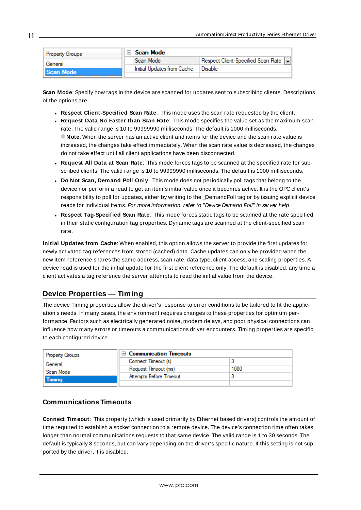| <b>Property Groups</b> |  | Scan Mode                  |                                       |  |
|------------------------|--|----------------------------|---------------------------------------|--|
| General                |  | Scan Mode                  | Respect Client-Specified Scan Rate  - |  |
| <b>Scan Mode</b>       |  | Initial Updates from Cache | Disable                               |  |
|                        |  |                            |                                       |  |

<span id="page-10-6"></span>**Scan Mode**: Specify how tags in the device are scanned for updates sent to subscribing clients. Descriptions of the options are:

- <sup>l</sup> **Respect Client-Specified Scan Rate**: This mode uses the scan rate requested by the client.
- <sup>l</sup> **Request Data No Faster than Scan Rate**: This mode specifies the value set as the maximum scan rate. The valid range is 10 to 99999990 milliseconds. The default is 1000 milliseconds. **Note**: When the server has an active client and items for the device and the scan rate value is increased, the changes take effect immediately. When the scan rate value is decreased, the changes do not take effect until all client applications have been disconnected.
- <sup>l</sup> **Request All Data at Scan Rate**: This mode forces tags to be scanned at the specified rate for subscribed clients. The valid range is 10 to 99999990 milliseconds. The default is 1000 milliseconds.
- <span id="page-10-3"></span><sup>l</sup> **Do Not Scan, Demand Poll Only**: This mode does not periodically poll tags that belong to the device nor perform a read to get an item's initial value once it becomes active. It is the OPC client's responsibility to poll for updates, either by writing to the \_DemandPoll tag or by issuing explicit device reads for individual items. For more information, refer to "Device Demand Poll" in server help.
- <span id="page-10-5"></span><sup>l</sup> **Respect Tag-Specified Scan Rate**: This mode forces static tags to be scanned at the rate specified in their static configuration tag properties. Dynamic tags are scanned at the client-specified scan rate.

<span id="page-10-4"></span>**Initial Updates from Cache**: When enabled, this option allows the server to provide the first updates for newly activated tag references from stored (cached) data. Cache updates can only be provided when the new item reference shares the same address, scan rate, data type, client access, and scaling properties. A device read is used for the initial update for the first client reference only. The default is disabled; any time a client activates a tag reference the server attempts to read the initial value from the device.

### <span id="page-10-1"></span><span id="page-10-0"></span>**Device Properties — Timing**

The device Timing properties allow the driver's response to error conditions to be tailored to fit the application's needs. In many cases, the environment requires changes to these properties for optimum performance. Factors such as electrically generated noise, modem delays, and poor physical connections can influence how many errors or timeouts a communications driver encounters. Timing properties are specific to each configured device.

| Property Groups | □ Communication Timeouts |      |
|-----------------|--------------------------|------|
| General         | Connect Timeout (s)      |      |
| Scan Mode       | Request Timeout (ms)     | 1000 |
| Timina          | Attempts Before Timeout  |      |
|                 |                          |      |

### <span id="page-10-2"></span>**Communications Timeouts**

**Connect Timeout**: This property (which is used primarily by Ethernet based drivers) controls the amount of time required to establish a socket connection to a remote device. The device's connection time often takes longer than normal communications requests to that same device. The valid range is 1 to 30 seconds. The default is typically 3 seconds, but can vary depending on the driver's specific nature. If this setting is not supported by the driver, it is disabled.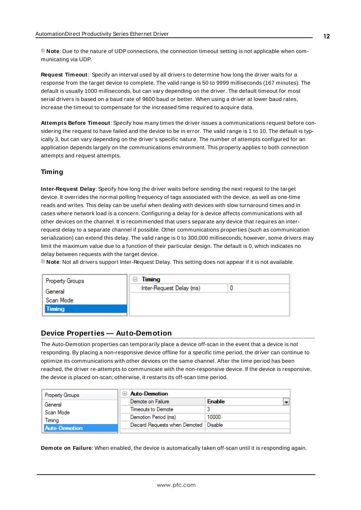**Note**: Due to the nature of UDPconnections, the connection timeout setting is not applicable when communicating via UDP.

<span id="page-11-3"></span>**Request Timeout**: Specify an interval used by all drivers to determine how long the driver waits for a response from the target device to complete. The valid range is 50 to 9999 milliseconds (167 minutes). The default is usually 1000 milliseconds, but can vary depending on the driver. The default timeout for most serial drivers is based on a baud rate of 9600 baud or better. When using a driver at lower baud rates, increase the timeout to compensate for the increased time required to acquire data.

<span id="page-11-1"></span>**Attempts Before Timeout**: Specify how many times the driver issues a communications request before considering the request to have failed and the device to be in error. The valid range is 1 to 10. The default is typically 3, but can vary depending on the driver's specific nature. The number of attempts configured for an application depends largely on the communications environment. This property applies to both connection attempts and request attempts.

### **Timing**

**Inter-Request Delay**: Specify how long the driver waits before sending the next request to the target device. It overrides the normal polling frequency of tags associated with the device, as well as one-time reads and writes. This delay can be useful when dealing with devices with slow turnaround times and in cases where network load is a concern. Configuring a delay for a device affects communications with all other devices on the channel. It is recommended that users separate any device that requires an interrequest delay to a separate channel if possible. Other communications properties (such as communication serialization) can extend this delay. The valid range is 0 to 300,000 milliseconds; however, some drivers may limit the maximum value due to a function of their particular design. The default is 0, which indicates no delay between requests with the target device.

**Note**: Not all drivers support Inter-Request Delay. This setting does not appear if it is not available.

| <b>Property Groups</b> | Timing<br>н              |  |
|------------------------|--------------------------|--|
| General                | Inter-Request Delay (ms) |  |
| Scan Mode              |                          |  |
| Timing                 |                          |  |
|                        |                          |  |

#### <span id="page-11-0"></span>**Device Properties — Auto-Demotion**

The Auto-Demotion properties can temporarily place a device off-scan in the event that a device is not responding. By placing a non-responsive device offline for a specific time period, the driver can continue to optimize its communications with other devices on the same channel. After the time period has been reached, the driver re-attempts to communicate with the non-responsive device. If the device is responsive, the device is placed on-scan; otherwise, it restarts its off-scan time period.

| <b>Property Groups</b> | $\Box$ Auto-Demotion                    |               |  |
|------------------------|-----------------------------------------|---------------|--|
| General                | Demote on Failure                       | <b>Enable</b> |  |
| Scan Mode              | Timeouts to Demote                      |               |  |
| Timina                 | Demotion Period (ms)                    | 10000         |  |
| <b>Auto-Demotion</b>   | Discard Requests when Demoted   Disable |               |  |
|                        |                                         |               |  |

<span id="page-11-2"></span>**Demote on Failure**: When enabled, the device is automatically taken off-scan until it is responding again.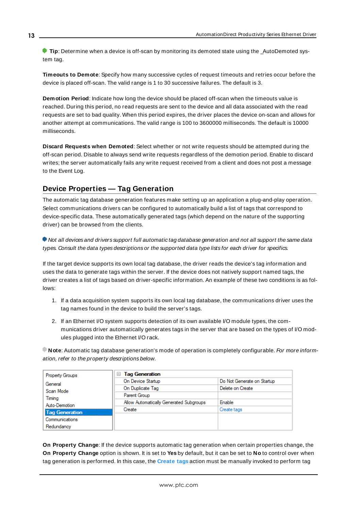**Tip**: Determine when a device is off-scan by monitoring its demoted state using the AutoDemoted system tag.

<span id="page-12-3"></span>**Timeouts to Demote**: Specify how many successive cycles of request timeouts and retries occur before the device is placed off-scan. The valid range is 1 to 30 successive failures. The default is 3.

<span id="page-12-1"></span>**Demotion Period**: Indicate how long the device should be placed off-scan when the timeouts value is reached. During this period, no read requests are sent to the device and all data associated with the read requests are set to bad quality. When this period expires, the driver places the device on-scan and allows for another attempt at communications. The valid range is 100 to 3600000 milliseconds. The default is 10000 milliseconds.

<span id="page-12-2"></span>**Discard Requests when Demoted**: Select whether or not write requests should be attempted during the off-scan period. Disable to always send write requests regardless of the demotion period. Enable to discard writes; the server automatically fails any write request received from a client and does not post a message to the Event Log.

### <span id="page-12-0"></span>**Device Properties — Tag Generation**

The automatic tag database generation features make setting up an application a plug-and-play operation. Select communications drivers can be configured to automatically build a list of tags that correspond to device-specific data. These automatically generated tags (which depend on the nature of the supporting driver) can be browsed from the clients.

Not all devices and drivers support full automatic tag database generation and not all support the same data types. Consult the data types descriptions or the supported data type lists for each driver for specifics.

If the target device supports its own local tag database, the driver reads the device's tag information and uses the data to generate tags within the server. If the device does not natively support named tags, the driver creates a list of tags based on driver-specific information. An example of these two conditions is as follows:

- 1. If a data acquisition system supports its own local tag database, the communications driver uses the tag names found in the device to build the server's tags.
- 2. If an Ethernet I/O system supports detection of its own available I/O module types, the communications driver automatically generates tags in the server that are based on the types of I/O modules plugged into the Ethernet I/O rack.

**Note**: Automatic tag database generation's mode of operation is completely configurable. For more information, refer to the property descriptions below.

| <b>Property Groups</b> | <b>Tag Generation</b><br>⊟              |                            |  |  |
|------------------------|-----------------------------------------|----------------------------|--|--|
| General                | On Device Startup                       | Do Not Generate on Startup |  |  |
| Scan Mode              | On Duplicate Tag                        | Delete on Create           |  |  |
| Timina                 | Parent Group                            |                            |  |  |
| Auto-Demotion          | Allow Automatically Generated Subgroups | Enable                     |  |  |
| <b>Tag Generation</b>  | Create                                  | Create tags                |  |  |
| Communications         |                                         |                            |  |  |
| Redundancy             |                                         |                            |  |  |

**On Property Change**: If the device supports automatic tag generation when certain properties change, the **On Property Change** option is shown. It is set to **Yes** by default, but it can be set to **No** to control over when tag generation is performed. In this case, the **Create tags** action must be manually invoked to perform tag

**13**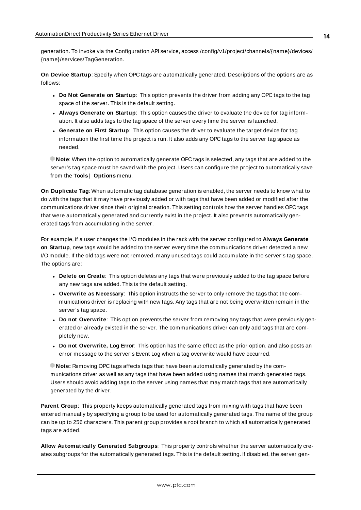<span id="page-13-4"></span>generation. To invoke via the Configuration API service, access /config/v1/project/channels/{name}/devices/ {name}/services/TagGeneration.

<span id="page-13-2"></span>**On Device Startup**: Specify when OPC tags are automatically generated. Descriptions of the options are as follows:

- <span id="page-13-1"></span><sup>l</sup> **Do Not Generate on Startup**: This option prevents the driver from adding any OPC tags to the tag space of the server. This is the default setting.
- <sup>l</sup> **Always Generate on Startup**: This option causes the driver to evaluate the device for tag information. It also adds tags to the tag space of the server every time the server is launched.
- <sup>l</sup> **Generate on First Startup**: This option causes the driver to evaluate the target device for tag information the first time the project is run. It also adds any OPC tags to the server tag space as needed.

**Note**: When the option to automatically generate OPC tags is selected, any tags that are added to the server's tag space must be saved with the project. Users can configure the project to automatically save from the **Tools** | **Options** menu.

<span id="page-13-3"></span>**On Duplicate Tag**: When automatic tag database generation is enabled, the server needs to know what to do with the tags that it may have previously added or with tags that have been added or modified after the communications driver since their original creation. This setting controls how the server handles OPC tags that were automatically generated and currently exist in the project. It also prevents automatically generated tags from accumulating in the server.

For example, if a user changes the I/O modules in the rack with the server configured to **Always Generate on Startup**, new tags would be added to the server every time the communications driver detected a new I/O module. If the old tags were not removed, many unused tags could accumulate in the server's tag space. The options are:

- <span id="page-13-0"></span>**• Delete on Create**: This option deletes any tags that were previously added to the tag space before any new tags are added. This is the default setting.
- <span id="page-13-5"></span><sup>l</sup> **Overwrite as Necessary**: This option instructs the server to only remove the tags that the communications driver is replacing with new tags. Any tags that are not being overwritten remain in the server's tag space.
- **Do** not Overwrite: This option prevents the server from removing any tags that were previously generated or already existed in the server. The communications driver can only add tags that are completely new.
- <sup>l</sup> **Do not Overwrite, Log Error**: This option has the same effect as the prior option, and also posts an error message to the server's Event Log when a tag overwrite would have occurred.

**Note:** Removing OPC tags affects tags that have been automatically generated by the communications driver as well as any tags that have been added using names that match generated tags. Users should avoid adding tags to the server using names that may match tags that are automatically generated by the driver.

<span id="page-13-6"></span>**Parent Group**: This property keeps automatically generated tags from mixing with tags that have been entered manually by specifying a group to be used for automatically generated tags. The name of the group can be up to 256 characters. This parent group provides a root branch to which all automatically generated tags are added.

**Allow Automatically Generated Subgroups**: This property controls whether the server automatically creates subgroups for the automatically generated tags. This is the default setting. If disabled, the server gen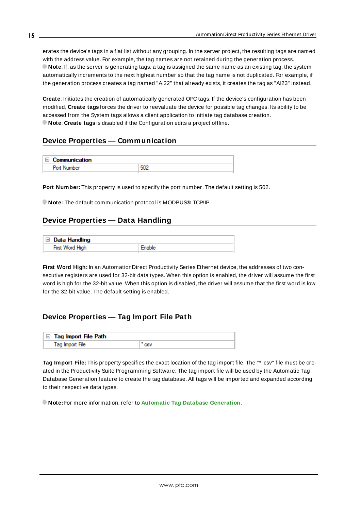<span id="page-14-3"></span>erates the device's tags in a flat list without any grouping. In the server project, the resulting tags are named with the address value. For example, the tag names are not retained during the generation process. **Note**: If, as the server is generating tags, a tag is assigned the same name as an existing tag, the system automatically increments to the next highest number so that the tag name is not duplicated. For example, if the generation process creates a tag named "AI22" that already exists, it creates the tag as "AI23" instead.

<span id="page-14-4"></span>**Create**: Initiates the creation of automatically generated OPC tags. If the device's configuration has been modified, **Create tags** forces the driver to reevaluate the device for possible tag changes. Its ability to be accessed from the System tags allows a client application to initiate tag database creation. **Note**: **Create tags** is disabled if the Configuration edits a project offline.

### <span id="page-14-0"></span>**Device Properties — Communication**

| $\Box$<br>Communication |     |
|-------------------------|-----|
| Port N<br><b>Imher</b>  | 501 |
|                         |     |

**Port Number:** This property is used to specify the port number. The default setting is 502.

<span id="page-14-1"></span>**Note:** The default communication protocol is MODBUS® TCP/IP.

### **Device Properties — Data Handling**

| $\Box$ Data Handling |        |
|----------------------|--------|
| First Word High      | Enable |

**First Word High:** In an AutomationDirect Productivity Series Ethernet device, the addresses of two consecutive registers are used for 32-bit data types. When this option is enabled, the driver will assume the first word is high for the 32-bit value. When this option is disabled, the driver will assume that the first word is low for the 32-bit value. The default setting is enabled.

### <span id="page-14-2"></span>**Device Properties — Tag Import File Path**

| $\Box$ Tag Import File Path |  |
|-----------------------------|--|
| Tag Import File             |  |

**Tag Import File:** This property specifies the exact location of the tag import file. The "\* .csv" file must be created in the Productivity Suite Programming Software. The tag import file will be used by the Automatic Tag Database Generation feature to create the tag database. All tags will be imported and expanded according to their respective data types.

**Note:** For more information, refer to **Automatic Tag Database [Generation](#page-16-0)**.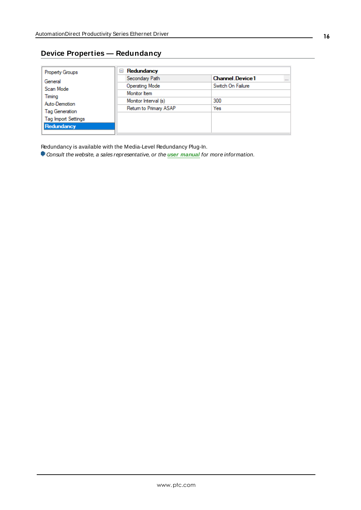### <span id="page-15-0"></span>**Device Properties — Redundancy**

| <b>Property Groups</b>                                 | Redundancy<br>$=$      |                                    |
|--------------------------------------------------------|------------------------|------------------------------------|
| General                                                | Secondary Path         | <b>Channel Device1</b><br>$\cdots$ |
| Scan Mode<br>Timing<br>Auto-Demotion<br>Tag Generation | <b>Operating Mode</b>  | Switch On Failure                  |
|                                                        | Monitor Item           |                                    |
|                                                        | Monitor Interval (s)   | 300                                |
|                                                        | Return to Primary ASAP | Yes                                |
| <b>Tag Import Settings</b>                             |                        |                                    |
| Redundancy                                             |                        |                                    |

Redundancy is available with the Media-Level Redundancy Plug-In.

Consult the website, a sales representative, or the **user [manual](https://www.kepware.com/getattachment/35461efd-b53a-4219-a109-a89fad20b230/media-level-redundancy-manual.pdf)** for more information.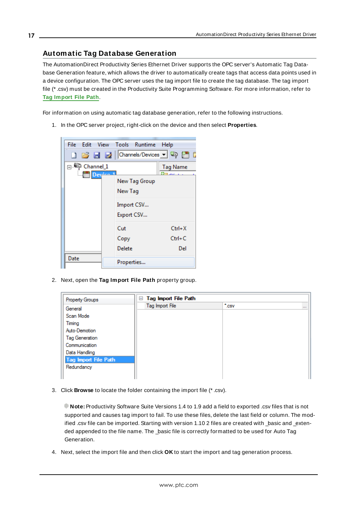### <span id="page-16-0"></span>**Automatic Tag Database Generation**

The AutomationDirect Productivity Series Ethernet Driver supports the OPC server's Automatic Tag Database Generation feature, which allows the driver to automatically create tags that access data points used in a device configuration. The OPC server uses the tag import file to create the tag database. The tag import file (\* .csv) must be created in the Productivity Suite Programming Software. For more information, refer to **Tag [Import](#page-14-2) File Path**.

For information on using automatic tag database generation, refer to the following instructions.

1. In the OPC server project, right-click on the device and then select **Properties**.



2. Next, open the **Tag Import File Path** property group.

| Property Groups             | Tag Import File Path<br>$\equiv$ |                        |          |
|-----------------------------|----------------------------------|------------------------|----------|
| General                     | Tag Import File                  | $\cdot$ <sub>csv</sub> | $\cdots$ |
| Scan Mode                   |                                  |                        |          |
| Timing                      |                                  |                        |          |
| Auto-Demotion               |                                  |                        |          |
| <b>Tag Generation</b>       |                                  |                        |          |
| Communication               |                                  |                        |          |
| Data Handling               |                                  |                        |          |
| <b>Tag Import File Path</b> |                                  |                        |          |
| Redundancy                  |                                  |                        |          |
|                             |                                  |                        |          |

3. Click **Browse** to locate the folder containing the import file (\* .csv).

**Note:** Productivity Software Suite Versions 1.4 to 1.9 add a field to exported .csv files that is not supported and causes tag import to fail. To use these files, delete the last field or column. The modified .csv file can be imported. Starting with version 1.10 2 files are created with basic and extended appended to the file name. The \_basic file is correctly formatted to be used for Auto Tag Generation.

4. Next, select the import file and then click **OK** to start the import and tag generation process.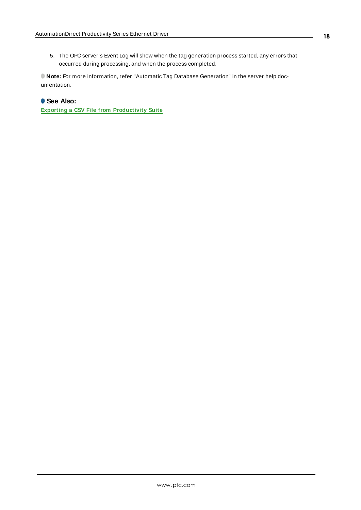5. The OPC server's Event Log will show when the tag generation process started, any errors that occurred during processing, and when the process completed.

**Note:** For more information, refer "Automatic Tag Database Generation" in the server help documentation.

### **See Also:**

**Exporting a CSV File from [Productivity](#page-33-0) Suite**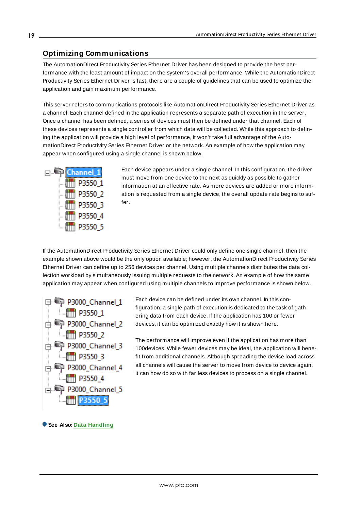### <span id="page-18-0"></span>**Optimizing Communications**

The AutomationDirect Productivity Series Ethernet Driver has been designed to provide the best performance with the least amount of impact on the system's overall performance. While the AutomationDirect Productivity Series Ethernet Driver is fast, there are a couple of guidelines that can be used to optimize the application and gain maximum performance.

This server refers to communications protocols like AutomationDirect Productivity Series Ethernet Driver as a channel. Each channel defined in the application represents a separate path of execution in the server. Once a channel has been defined, a series of devices must then be defined under that channel. Each of these devices represents a single controller from which data will be collected. While this approach to defining the application will provide a high level of performance, it won't take full advantage of the AutomationDirect Productivity Series Ethernet Driver or the network. An example of how the application may appear when configured using a single channel is shown below.



Each device appears under a single channel. In this configuration, the driver must move from one device to the next as quickly as possible to gather information at an effective rate. As more devices are added or more information is requested from a single device, the overall update rate begins to suffer.

If the AutomationDirect Productivity Series Ethernet Driver could only define one single channel, then the example shown above would be the only option available; however, the AutomationDirect Productivity Series Ethernet Driver can define up to 256 devices per channel. Using multiple channels distributes the data collection workload by simultaneously issuing multiple requests to the network. An example of how the same application may appear when configured using multiple channels to improve performance is shown below.



Each device can be defined under its own channel. In this configuration, a single path of execution is dedicated to the task of gathering data from each device. If the application has 100 or fewer devices, it can be optimized exactly how it is shown here.

The performance will improve even if the application has more than 100devices. While fewer devices may be ideal, the application will benefit from additional channels. Although spreading the device load across all channels will cause the server to move from device to device again, it can now do so with far less devices to process on a single channel.

**See Also: Data [Handling](#page-14-1)**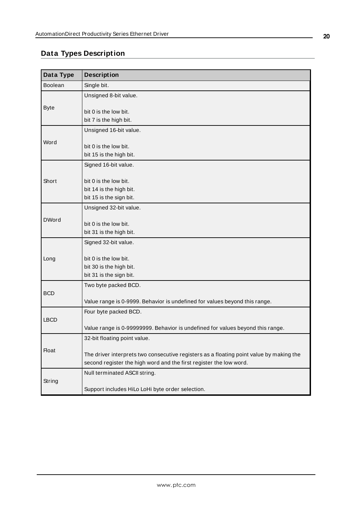## <span id="page-19-0"></span>**Data Types Description**

| Data Type    | <b>Description</b>                                                                                                                                            |
|--------------|---------------------------------------------------------------------------------------------------------------------------------------------------------------|
| Boolean      | Single bit.                                                                                                                                                   |
|              | Unsigned 8-bit value.                                                                                                                                         |
| <b>Byte</b>  | bit 0 is the low bit.                                                                                                                                         |
|              | bit 7 is the high bit.                                                                                                                                        |
|              | Unsigned 16-bit value.                                                                                                                                        |
| Word         |                                                                                                                                                               |
|              | bit 0 is the low bit.                                                                                                                                         |
|              | bit 15 is the high bit.                                                                                                                                       |
|              | Signed 16-bit value.                                                                                                                                          |
| Short        | bit 0 is the low bit.                                                                                                                                         |
|              | bit 14 is the high bit.                                                                                                                                       |
|              | bit 15 is the sign bit.                                                                                                                                       |
|              | Unsigned 32-bit value.                                                                                                                                        |
| <b>DWord</b> |                                                                                                                                                               |
|              | bit 0 is the low bit.<br>bit 31 is the high bit.                                                                                                              |
|              |                                                                                                                                                               |
|              | Signed 32-bit value.                                                                                                                                          |
| Long         | bit 0 is the low bit.                                                                                                                                         |
|              | bit 30 is the high bit.                                                                                                                                       |
|              | bit 31 is the sign bit.                                                                                                                                       |
|              | Two byte packed BCD.                                                                                                                                          |
| <b>BCD</b>   |                                                                                                                                                               |
|              | Value range is 0-9999. Behavior is undefined for values beyond this range.                                                                                    |
| <b>LBCD</b>  | Four byte packed BCD.                                                                                                                                         |
|              | Value range is 0-99999999. Behavior is undefined for values beyond this range.                                                                                |
|              | 32-bit floating point value.                                                                                                                                  |
| <b>Float</b> |                                                                                                                                                               |
|              | The driver interprets two consecutive registers as a floating point value by making the<br>second register the high word and the first register the low word. |
|              |                                                                                                                                                               |
| String       | Null terminated ASCII string.                                                                                                                                 |
|              | Support includes HiLo LoHi byte order selection.                                                                                                              |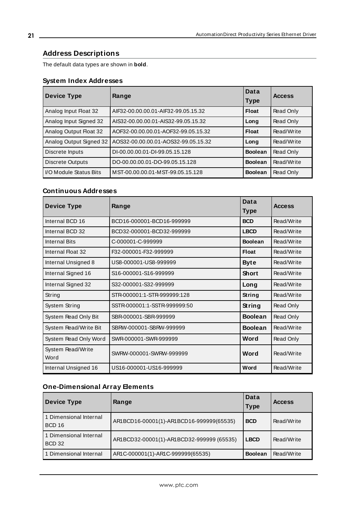### <span id="page-20-0"></span>**Address Descriptions**

The default data types are shown in **bold**.

### **System Index Addresses**

| Device Type              | Range                               | Data<br><b>Type</b> | <b>Access</b> |
|--------------------------|-------------------------------------|---------------------|---------------|
| Analog Input Float 32    | AIF32-00.00.00.01-AIF32-99.05.15.32 | <b>Float</b>        | Read Only     |
| Analog Input Signed 32   | AIS32-00.00.00.01-AIS32-99.05.15.32 | Long                | Read Only     |
| Analog Output Float 32   | AOF32-00.00.00.01-AOF32-99.05.15.32 | <b>Float</b>        | Read/Write    |
| Analog Output Signed 32  | AOS32-00.00.00.01-AOS32-99.05.15.32 | Long                | Read/Write    |
| Discrete Inputs          | DI-00.00.00.01-DI-99.05.15.128      | <b>Boolean</b>      | Read Only     |
| Discrete Outputs         | DO-00.00.00.01-DO-99.05.15.128      | <b>Boolean</b>      | Read/Write    |
| l I/O Module Status Bits | MST-00.00.00.01-MST-99.05.15.128    | <b>Boolean</b>      | Read Only     |

### **Continuous Addresses**

| <b>Device Type</b>        | Range                         | Data<br><b>Type</b> | <b>Access</b> |
|---------------------------|-------------------------------|---------------------|---------------|
| Internal BCD 16           | BCD16-000001-BCD16-999999     | <b>BCD</b>          | Read/Write    |
| Internal BCD 32           | BCD32-000001-BCD32-999999     | <b>LBCD</b>         | Read/Write    |
| <b>Internal Bits</b>      | C-000001-C-999999             | <b>Boolean</b>      | Read/Write    |
| Internal Float 32         | F32-000001-F32-999999         | Float               | Read/Write    |
| Internal Unsigned 8       | US8-000001-US8-999999         | <b>Byte</b>         | Read/Write    |
| Internal Signed 16        | S16-000001-S16-999999         | <b>Short</b>        | Read/Write    |
| Internal Signed 32        | S32-000001-S32-999999         | Long                | Read/Write    |
| String                    | STR-000001:1-STR-999999:128   | String              | Read/Write    |
| System String             | SSTR-000001:1-SSTR-9999999:50 | String              | Read Only     |
| System Read Only Bit      | SBR-000001-SBR-999999         | <b>Boolean</b>      | Read Only     |
| System Read/Write Bit     | SBRW-000001-SBRW-999999       | <b>Boolean</b>      | Read/Write    |
| System Read Only Word     | SWR-000001-SWR-999999         | Word                | Read Only     |
| System Read/Write<br>Word | SWRW-000001-SWRW-999999       | Word                | Read/Write    |
| Internal Unsigned 16      | US16-000001-US16-999999       | Word                | Read/Write    |

### **One-Dimensional Array Elements**

| Device Type                             | Range                                     | Data<br>Type   | <b>Access</b> |
|-----------------------------------------|-------------------------------------------|----------------|---------------|
| 1 Dimensional Internal<br><b>BCD 16</b> | AR1BCD16-00001(1)-AR1BCD16-999999(65535)  | <b>BCD</b>     | Read/Write    |
| 1 Dimensional Internal<br><b>BCD 32</b> | AR1BCD32-00001(1)-AR1BCD32-999999 (65535) | <b>LBCD</b>    | Read/Write    |
| 1 Dimensional Internal                  | AR1C-000001(1)-AR1C-999999(65535)         | <b>Boolean</b> | Read/Write    |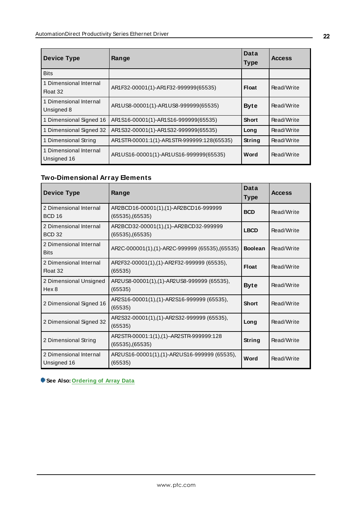| <b>Device Type</b>                    | Range                                      | Data<br><b>Type</b> | <b>Access</b> |
|---------------------------------------|--------------------------------------------|---------------------|---------------|
| <b>Bits</b>                           |                                            |                     |               |
| 1 Dimensional Internal<br>Float 32    | AR1F32-00001(1)-AR1F32-999999(65535)       | Float               | Read/Write    |
| 1 Dimensional Internal<br>Unsigned 8  | AR1US8-00001(1)-AR1US8-999999(65535)       | <b>Byte</b>         | Read/Write    |
| 1 Dimensional Signed 16               | AR1S16-00001(1)-AR1S16-999999(65535)       | <b>Short</b>        | Read/Write    |
| 1 Dimensional Signed 32               | AR1S32-00001(1)-AR1S32-999999(65535)       | Long                | Read/Write    |
| 1 Dimensional String                  | AR1STR-00001:1(1)-AR1STR-999999:128(65535) | String              | Read/Write    |
| 1 Dimensional Internal<br>Unsigned 16 | AR1US16-00001(1)-AR1US16-999999(65535)     | Word                | Read/Write    |

### **Two-Dimensional Array Elements**

| <b>Device Type</b>                         | Range                                                      | Data<br><b>Type</b> | <b>Access</b> |
|--------------------------------------------|------------------------------------------------------------|---------------------|---------------|
| 2 Dimensional Internal<br><b>BCD 16</b>    | AR2BCD16-00001(1),(1)-AR2BCD16-999999<br>(65535),(65535)   | <b>BCD</b>          | Read/Write    |
| 2 Dimensional Internal<br><b>BCD 32</b>    | AR2BCD32-00001(1),(1)-AR2BCD32-999999<br>(65535),(65535)   | <b>LBCD</b>         | Read/Write    |
| 2 Dimensional Internal<br><b>Bits</b>      | AR2C-000001(1),(1)-AR2C-999999 (65535),(65535)             | <b>Boolean</b>      | Read/Write    |
| 2 Dimensional Internal<br>Float 32         | AR2F32-00001(1),(1)-AR2F32-999999 (65535),<br>(65535)      | Float               | Read/Write    |
| 2 Dimensional Unsigned<br>Hex <sub>8</sub> | AR2US8-00001(1),(1)-AR2US8-999999 (65535),<br>(65535)      | <b>Byte</b>         | Read/Write    |
| 2 Dimensional Signed 16                    | AR2S16-00001(1),(1)-AR2S16-999999 (65535),<br>(65535)      | <b>Short</b>        | Read/Write    |
| 2 Dimensional Signed 32                    | AR2S32-00001(1),(1)-AR2S32-999999 (65535),<br>(65535)      | Long                | Read/Write    |
| 2 Dimensional String                       | AR2STR-00001:1(1),(1)-AR2STR-999999:128<br>(65535),(65535) | String              | Read/Write    |
| 2 Dimensional Internal<br>Unsigned 16      | AR2US16-00001(1),(1)-AR2US16-999999 (65535),<br>(65535)    | Word                | Read/Write    |

**See Also: [Ordering](#page-22-0) of Array Data**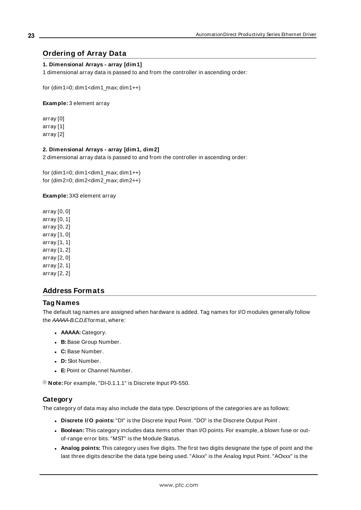### <span id="page-22-0"></span>**Ordering of Array Data**

#### **1. Dimensional Arrays - array [dim1]**

1 dimensional array data is passed to and from the controller in ascending order:

for  $(dim1=0; dim1< dim1$ <sub>max;</sub>  $dim1++)$ 

**Example:** 3 element array

array [0] array [1] array [2]

#### **2. Dimensional Arrays - array [dim1, dim2]**

2 dimensional array data is passed to and from the controller in ascending order:

for  $(dim1=0; dim1< dim1$ <sub>max;</sub>  $dim1++)$ for (dim2=0; dim2<dim2\_max; dim2++)

#### **Example:** 3X3 element array

array [0, 0] array [0, 1] array [0, 2] array [1, 0] array [1, 1] array [1, 2] array [2, 0] array [2, 1] array [2, 2]

### <span id="page-22-1"></span>**Address Formats**

### **Tag Names**

The default tag names are assigned when hardware is added. Tag names for I/O modules generally follow the AAAAA-B.C.D. Eformat, where:

- **.** AAAAA: Category.
- **B:** Base Group Number.
- <sup>l</sup> **C:** Base Number.
- **.** D: Slot Number.
- **E:** Point or Channel Number.

**Note:** For example, "DI-0.1.1.1" is Discrete Input P3-550.

#### **Category**

The category of data may also include the data type. Descriptions of the categories are as follows:

- <sup>l</sup> **Discrete I/O points:**"DI" is the Discrete Input Point. "DO" is the Discrete Output Point .
- **Boolean:** This category includes data items other than I/O points. For example, a blown fuse or outof-range error bits. "MST" is the Module Status.
- <sup>l</sup> **Analog points:** This category uses five digits. The first two digits designate the type of point and the last three digits describe the data type being used. "AIxxx" is the Analog Input Point. "AOxxx" is the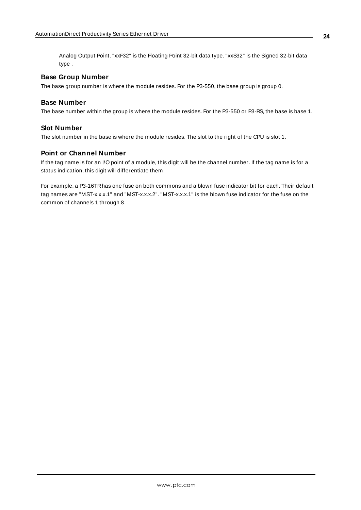Analog Output Point. "xxF32" is the Floating Point 32-bit data type. "xxS32" is the Signed 32-bit data type .

### **Base Group Number**

The base group number is where the module resides. For the P3-550, the base group is group 0.

### **Base Number**

The base number within the group is where the module resides. For the P3-550 or P3-RS, the base is base 1.

### **Slot Number**

The slot number in the base is where the module resides. The slot to the right of the CPU is slot 1.

### **Point or Channel Number**

If the tag name is for an I/O point of a module, this digit will be the channel number. If the tag name is for a status indication, this digit will differentiate them.

For example, a P3-16TRhas one fuse on both commons and a blown fuse indicator bit for each. Their default tag names are "MST-x.x.x.1" and "MST-x.x.x.2". "MST-x.x.x.1" is the blown fuse indicator for the fuse on the common of channels 1 through 8.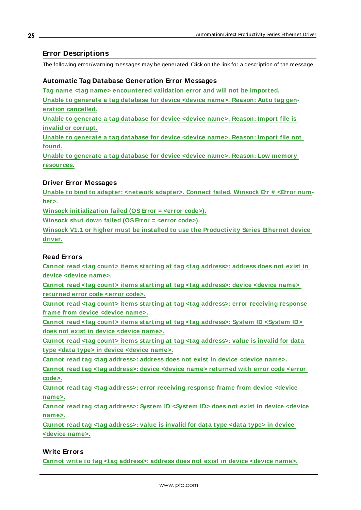### <span id="page-24-0"></span>**Error Descriptions**

The following error/warning messages may be generated. Click on the link for a description of the message.

### **Automatic Tag Database Generation Error Messages**

**Tag name <tag name> [encountered](#page-25-0) validation error and will not be imported.**

**Unable to [generate](#page-25-1) a tag database for device <device name>. Reason: Auto tag generation [cancelled.](#page-25-1)**

**Unable to [generate](#page-25-2) a tag database for device <device name>. Reason: Import file is invalid or [corrupt.](#page-25-2)**

**Unable to [generate](#page-26-0) a tag database for device <device name>. Reason: Import file not [found.](#page-26-0)**

**Unable to [generate](#page-26-1) a tag database for device <device name>. Reason: Low memory [resources.](#page-26-1)**

### **Driver Error Messages**

**Unable to bind to adapter: <network [adapter>.](#page-26-2) Connect failed. Winsock Err # <Error num[ber>.](#page-26-2)**

**Winsock [initialization](#page-27-0) failed (OSError = <error code>).**

**Winsock shut down failed [\(OSError](#page-27-1) = <error code>).**

**Winsock V1.1 or higher must be installed to use the [Productivity](#page-27-2) Series Ethernet device [driver.](#page-27-2)**

#### **Read Errors**

**Cannot read <tag count> items starting at tag <tag [address>:](#page-28-0) address does not exist in device [<device](#page-28-0) name>.**

**Cannot read <tag count> items starting at tag <tag [address>:](#page-28-1) device <device name> [returned](#page-28-1) error code <error code>.**

**Cannot read <tag count> items starting at tag <tag [address>:](#page-28-2) error receiving response frame from device [<device](#page-28-2) name>.**

**Cannot read <tag count> items starting at tag <tag [address>:](#page-28-3) System ID <System ID> does not exist in device [<device](#page-28-3) name>.**

**Cannot read <tag count> items starting at tag <tag [address>:](#page-29-0) value is invalid for data type <data type> in device [<device](#page-29-0) name>.**

**Cannot read tag <tag [address>:](#page-29-1) address does not exist in device <device name>.**

**Cannot read tag <tag [address>:](#page-29-2) device <device name> returned with error code <error [code>.](#page-29-2)**

**Cannot read tag <tag [address>:](#page-29-3) error receiving response frame from device <device [name>.](#page-29-3)**

**Cannot read tag <tag [address>:](#page-30-0) System ID <System ID> does not exist in device <device [name>.](#page-30-0)**

**Cannot read tag <tag [address>:](#page-30-1) value is invalid for data type <data type> in device [<device](#page-30-1) name>.**

### **Write Errors**

**Cannot write to tag <tag [address>:](#page-30-2) address does not exist in device <device name>.**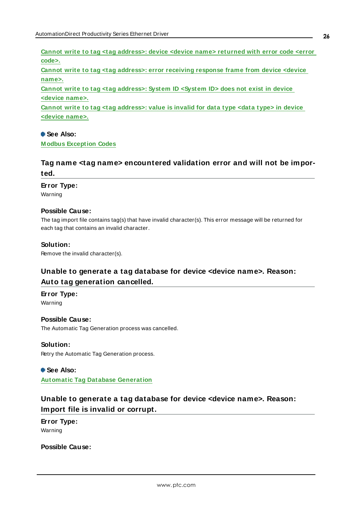**Cannot write to tag <tag [address>:](#page-30-3) device <device name> returned with error code <error [code>.](#page-30-3)**

**Cannot write to tag <tag [address>:](#page-31-0) error receiving response frame from device <device [name>.](#page-31-0)**

**Cannot write to tag <tag [address>:](#page-31-1) System ID <System ID> does not exist in device [<device](#page-31-1) name>.**

**Cannot write to tag <tag [address>:](#page-31-2) value is invalid for data type <data type> in device [<device](#page-31-2) name>.**

### **See Also:**

<span id="page-25-0"></span>**[M odbus](#page-32-0) Exception Codes**

### **Tag name <tag name> encountered validation error and will not be imported.**

#### **Error Type:**

Warning

#### **Possible Cause:**

The tag import file contains tag(s) that have invalid character(s). This error message will be returned for each tag that contains an invalid character.

#### **Solution:**

<span id="page-25-1"></span>Remove the invalid character(s).

### **Unable to generate a tag database for device <device name>. Reason: Auto tag generation cancelled.**

#### **Error Type:**

Warning

#### **Possible Cause:**

The Automatic Tag Generation process was cancelled.

#### **Solution:**

Retry the Automatic Tag Generation process.

#### **See Also:**

<span id="page-25-2"></span>**Automatic Tag Database [Generation](#page-16-0)**

### **Unable to generate a tag database for device <device name>. Reason: Import file is invalid or corrupt.**

**Error Type:** Warning

**Possible Cause:**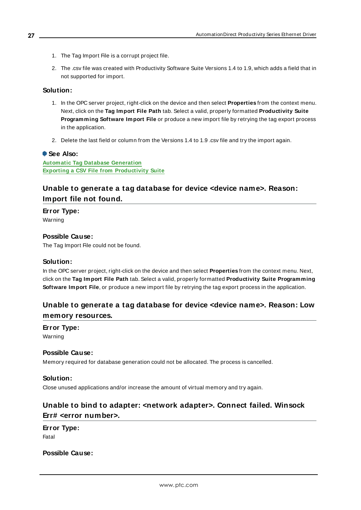- 1. The Tag Import File is a corrupt project file.
- 2. The .csv file was created with Productivity Software Suite Versions 1.4 to 1.9, which adds a field that in not supported for import.

#### **Solution:**

- 1. In the OPC server project, right-click on the device and then select **Properties** from the context menu. Next, click on the **Tag Import File Path** tab. Select a valid, properly formatted **Productivity Suite Programming Software Import File** or produce a new import file by retrying the tag export process in the application.
- 2. Delete the last field or column from the Versions 1.4 to 1.9 .csv file and try the import again.

#### **See Also:**

**Automatic Tag Database [Generation](#page-16-0) Exporting a CSV File from [Productivity](#page-33-0) Suite**

### <span id="page-26-0"></span>**Unable to generate a tag database for device <device name>. Reason: Import file not found.**

**Error Type:**

Warning

#### **Possible Cause:**

The Tag Import File could not be found.

#### **Solution:**

In the OPC server project, right-click on the device and then select **Properties** from the context menu. Next, click on the **Tag Import File Path** tab. Select a valid, properly formatted **Productivity Suite Programming Software Import File**, or produce a new import file by retrying the tag export process in the application.

### <span id="page-26-1"></span>**Unable to generate a tag database for device <device name>. Reason: Low memory resources.**

**Error Type:** Warning

#### **Possible Cause:**

Memory required for database generation could not be allocated. The process is cancelled.

#### **Solution:**

<span id="page-26-2"></span>Close unused applications and/or increase the amount of virtual memory and try again.

### **Unable to bind to adapter: <network adapter>. Connect failed. Winsock Err# <error number>.**

**Error Type:** Fatal

**Possible Cause:**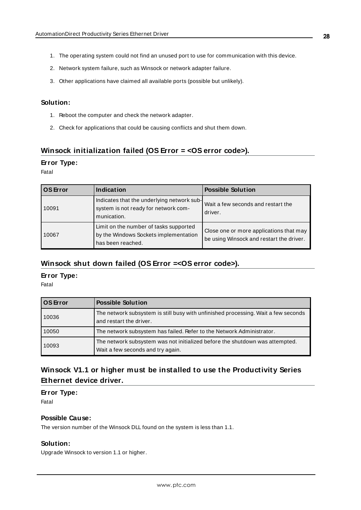- 1. The operating system could not find an unused port to use for communication with this device.
- 2. Network system failure, such as Winsock or network adapter failure.
- 3. Other applications have claimed all available ports (possible but unlikely).

### **Solution:**

- 1. Reboot the computer and check the network adapter.
- 2. Check for applications that could be causing conflicts and shut them down.

### <span id="page-27-0"></span>**Winsock initialization failed (OS Error = <OS error code>).**

#### **Error Type:**

Fatal

| <b>OS</b> Error | Indication                                                                                           | <b>Possible Solution</b>                                                            |
|-----------------|------------------------------------------------------------------------------------------------------|-------------------------------------------------------------------------------------|
| 10091           | Indicates that the underlying network sub-<br>system is not ready for network com-<br>munication.    | Wait a few seconds and restart the<br>driver.                                       |
| 10067           | Limit on the number of tasks supported<br>by the Windows Sockets implementation<br>has been reached. | Close one or more applications that may<br>be using Winsock and restart the driver. |

### <span id="page-27-1"></span>**Winsock shut down failed (OS Error =<OS error code>).**

#### **Error Type:**

Fatal

| <b>OS</b> Error | <b>Possible Solution</b>                                                                                          |
|-----------------|-------------------------------------------------------------------------------------------------------------------|
| 10036           | The network subsystem is still busy with unfinished processing. Wait a few seconds<br>and restart the driver.     |
| 10050           | The network subsystem has failed. Refer to the Network Administrator.                                             |
| 10093           | The network subsystem was not initialized before the shutdown was attempted.<br>Wait a few seconds and try again. |

### <span id="page-27-2"></span>**Winsock V1.1 or higher must be installed to use the Productivity Series Ethernet device driver.**

**Error Type:** Fatal

#### **Possible Cause:**

The version number of the Winsock DLL found on the system is less than 1.1.

#### **Solution:**

Upgrade Winsock to version 1.1 or higher.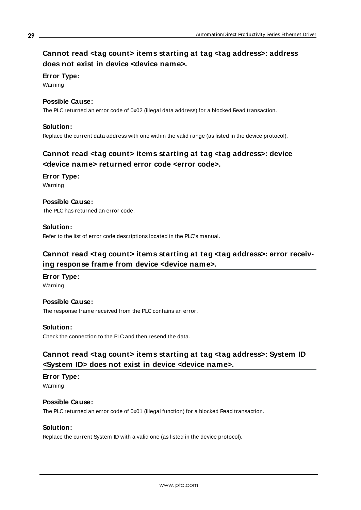### <span id="page-28-0"></span>**Cannot read <tag count> items starting at tag <tag address>: address does not exist in device <device name>.**

### **Error Type:**

Warning

### **Possible Cause:**

The PLC returned an error code of 0x02 (illegal data address) for a blocked Read transaction.

### **Solution:**

<span id="page-28-1"></span>Replace the current data address with one within the valid range (as listed in the device protocol).

### **Cannot read <tag count> items starting at tag <tag address>: device <device name> returned error code <error code>.**

### **Error Type:**

Warning

### **Possible Cause:**

The PLC has returned an error code.

### **Solution:**

<span id="page-28-2"></span>Refer to the list of error code descriptions located in the PLC's manual.

### **Cannot read <tag count> items starting at tag <tag address>: error receiving response frame from device <device name>.**

#### **Error Type:**

Warning

### **Possible Cause:**

The response frame received from the PLC contains an error.

#### **Solution:**

<span id="page-28-3"></span>Check the connection to the PLC and then resend the data.

### **Cannot read <tag count> items starting at tag <tag address>: System ID <System ID> does not exist in device <device name>.**

**Error Type:**

### Warning

### **Possible Cause:**

The PLC returned an error code of 0x01 (illegal function) for a blocked Read transaction.

#### **Solution:**

Replace the current System ID with a valid one (as listed in the device protocol).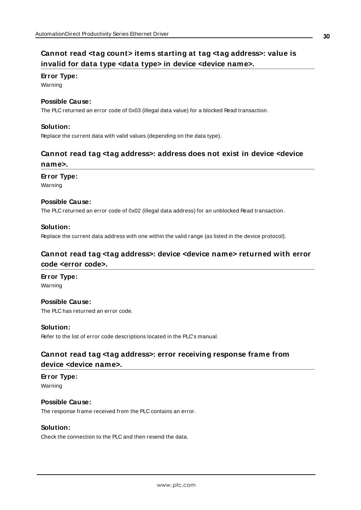### <span id="page-29-0"></span>**Cannot read <tag count> items starting at tag <tag address>: value is invalid for data type <data type> in device <device name>.**

#### **Error Type:**

Warning

#### **Possible Cause:**

The PLC returned an error code of 0x03 (illegal data value) for a blocked Read transaction.

#### **Solution:**

<span id="page-29-1"></span>Replace the current data with valid values (depending on the data type).

### **Cannot read tag <tag address>: address does not exist in device <device name>.**

#### **Error Type:**

Warning

#### **Possible Cause:**

The PLC returned an error code of 0x02 (illegal data address) for an unblocked Read transaction.

#### **Solution:**

<span id="page-29-2"></span>Replace the current data address with one within the valid range (as listed in the device protocol).

### **Cannot read tag <tag address>: device <device name> returned with error code <error code>.**

#### **Error Type:**

Warning

### **Possible Cause:** The PLC has returned an error code.

#### **Solution:**

<span id="page-29-3"></span>Refer to the list of error code descriptions located in the PLC's manual.

### **Cannot read tag <tag address>: error receiving response frame from device <device name>.**

**Error Type:** Warning

#### **Possible Cause:**

The response frame received from the PLC contains an error.

### **Solution:**

Check the connection to the PLC and then resend the data.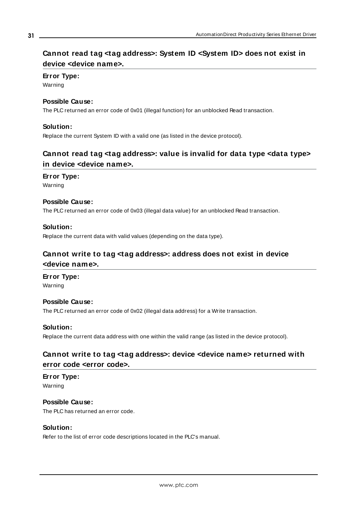### <span id="page-30-0"></span>**Cannot read tag <tag address>: System ID <System ID> does not exist in device <device name>.**

### **Error Type:**

Warning

### **Possible Cause:**

The PLC returned an error code of 0x01 (illegal function) for an unblocked Read transaction.

### **Solution:**

<span id="page-30-1"></span>Replace the current System ID with a valid one (as listed in the device protocol).

### **Cannot read tag <tag address>: value is invalid for data type <data type> in device <device name>.**

### **Error Type:**

Warning

### **Possible Cause:**

The PLC returned an error code of 0x03 (illegal data value) for an unblocked Read transaction.

### **Solution:**

<span id="page-30-2"></span>Replace the current data with valid values (depending on the data type).

### **Cannot write to tag <tag address>: address does not exist in device <device name>.**

#### **Error Type:**

Warning

### **Possible Cause:**

The PLC returned an error code of 0x02 (illegal data address) for a Write transaction.

### **Solution:**

<span id="page-30-3"></span>Replace the current data address with one within the valid range (as listed in the device protocol).

### **Cannot write to tag <tag address>: device <device name> returned with error code <error code>.**

#### **Error Type:** Warning

**Possible Cause:** The PLC has returned an error code.

### **Solution:**

Refer to the list of error code descriptions located in the PLC's manual.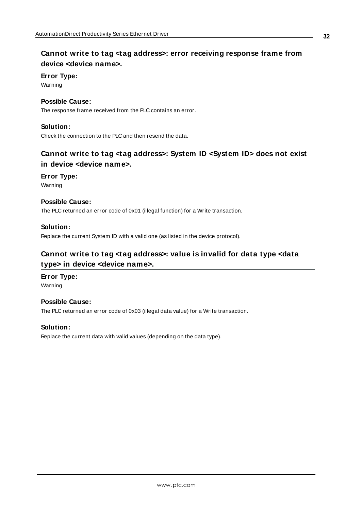### <span id="page-31-0"></span>**Cannot write to tag <tag address>: error receiving response frame from device <device name>.**

### **Error Type:**

Warning

### **Possible Cause:**

The response frame received from the PLC contains an error.

### **Solution:**

<span id="page-31-1"></span>Check the connection to the PLC and then resend the data.

### **Cannot write to tag <tag address>: System ID <System ID> does not exist in device <device name>.**

### **Error Type:**

Warning

### **Possible Cause:**

The PLC returned an error code of 0x01 (illegal function) for a Write transaction.

### **Solution:**

<span id="page-31-2"></span>Replace the current System ID with a valid one (as listed in the device protocol).

### **Cannot write to tag <tag address>: value is invalid for data type <data type> in device <device name>.**

### **Error Type:**

Warning

### **Possible Cause:**

The PLC returned an error code of 0x03 (illegal data value) for a Write transaction.

### **Solution:**

Replace the current data with valid values (depending on the data type).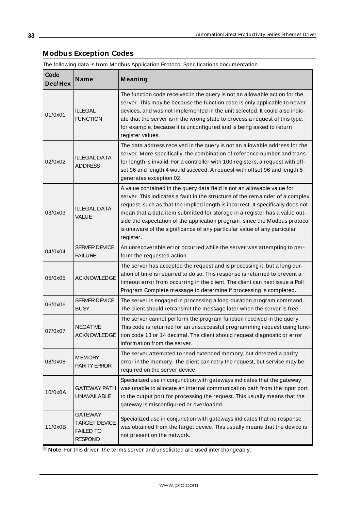### <span id="page-32-0"></span>**Modbus Exception Codes**

The following data is from Modbus Application Protocol Specifications documentation.

| Code<br>Dec/Hex | Name                                                                         | Meaning                                                                                                                                                                                                                                                                                                                                                                                                                                                                                          |
|-----------------|------------------------------------------------------------------------------|--------------------------------------------------------------------------------------------------------------------------------------------------------------------------------------------------------------------------------------------------------------------------------------------------------------------------------------------------------------------------------------------------------------------------------------------------------------------------------------------------|
| 01/0x01         | <b>ILLEGAL</b><br><b>FUNCTION</b>                                            | The function code received in the query is not an allowable action for the<br>server. This may be because the function code is only applicable to newer<br>devices, and was not implemented in the unit selected. It could also indic-<br>ate that the server is in the wrong state to process a request of this type,<br>for example, because it is unconfigured and is being asked to return<br>register values.                                                                               |
| 02/0x02         | <b>ILLEGAL DATA</b><br><b>ADDRESS</b>                                        | The data address received in the query is not an allowable address for the<br>server. More specifically, the combination of reference number and trans-<br>fer length is invalid. For a controller with 100 registers, a request with off-<br>set 96 and length 4 would succeed. A request with offset 96 and length 5<br>generates exception 02.                                                                                                                                                |
| 03/0x03         | <b>ILLEGAL DATA</b><br><b>VALUE</b>                                          | A value contained in the query data field is not an allowable value for<br>server. This indicates a fault in the structure of the remainder of a complex<br>request, such as that the implied length is incorrect. It specifically does not<br>mean that a data item submitted for storage in a register has a value out-<br>side the expectation of the application program, since the Modbus protocol<br>is unaware of the significance of any particular value of any particular<br>register. |
| 04/0x04         | SERVER DEVICE<br><b>FAILURE</b>                                              | An unrecoverable error occurred while the server was attempting to per-<br>form the requested action.                                                                                                                                                                                                                                                                                                                                                                                            |
| 05/0x05         | <b>ACKNOWLEDGE</b>                                                           | The server has accepted the request and is processing it, but a long dur-<br>ation of time is required to do so. This response is returned to prevent a<br>timeout error from occurring in the client. The client can next issue a Poll<br>Program Complete message to determine if processing is completed.                                                                                                                                                                                     |
| 06/0x06         | <b>SERVER DEVICE</b><br><b>BUSY</b>                                          | The server is engaged in processing a long-duration program command.<br>The client should retransmit the message later when the server is free.                                                                                                                                                                                                                                                                                                                                                  |
| 07/0x07         | <b>NEGATIVE</b><br><b>ACKNOWLEDGE</b>                                        | The server cannot perform the program function received in the query.<br>This code is returned for an unsuccessful programming request using func-<br>tion code 13 or 14 decimal. The client should request diagnostic or error<br>information from the server.                                                                                                                                                                                                                                  |
| 08/0x08         | <b>MEMORY</b><br><b>PARITY ERROR</b>                                         | The server attempted to read extended memory, but detected a parity<br>error in the memory. The client can retry the request, but service may be<br>required on the server device.                                                                                                                                                                                                                                                                                                               |
| 10/0x0A         | <b>GATEWAY PATH</b><br><b>UNAVAILABLE</b>                                    | Specialized use in conjunction with gateways indicates that the gateway<br>was unable to allocate an internal communication path from the input port<br>to the output port for processing the request. This usually means that the<br>gateway is misconfigured or overloaded.                                                                                                                                                                                                                    |
| 11/0x0B         | <b>GATEWAY</b><br><b>TARGET DEVICE</b><br><b>FAILED TO</b><br><b>RESPOND</b> | Specialized use in conjunction with gateways indicates that no response<br>was obtained from the target device. This usually means that the device is<br>not present on the network.                                                                                                                                                                                                                                                                                                             |

**Note:** For this driver, the terms server and unsolicited are used interchangeably.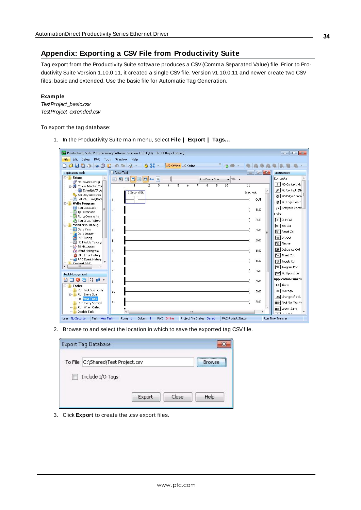### <span id="page-33-0"></span>**Appendix: Exporting a CSV File from Productivity Suite**

Tag export from the Productivity Suite software produces a CSV(Comma Separated Value) file. Prior to Productivity Suite Version 1.10.0.11, it created a single CSV file. Version v1.10.0.11 and newer create two CSV files: basic and extended. Use the basic file for Automatic Tag Generation.

#### **Example**

TestProject\_basic.csv TestProject\_extended.csv

To export the tag database:

1. In the Productivity Suite main menu, select **File | Export | Tags…**.

|                                                 | Pro Productivity Suite Programming Software, Version 1.10.0 (11) [Test PRoject.adpro]                                                                                                                                                                                                                                                                                             | $\begin{array}{c c c c c} \hline \multicolumn{3}{c }{\textbf{a}} & \multicolumn{3}{c }{\textbf{b}} \\ \hline \multicolumn{3}{c }{\textbf{b}} & \multicolumn{3}{c }{\textbf{c}} & \multicolumn{3}{c }{\textbf{d}} \\ \hline \multicolumn{3}{c }{\textbf{b}} & \multicolumn{3}{c }{\textbf{c}} & \multicolumn{3}{c }{\textbf{d}} \\ \multicolumn{3}{c }{\textbf{b}} & \multicolumn{3}{c }{\textbf{c}} & \multicolumn{3}{c }{\textbf{d}} \\ \multicolumn{3}{c $<br>$\ x\ $ |
|-------------------------------------------------|-----------------------------------------------------------------------------------------------------------------------------------------------------------------------------------------------------------------------------------------------------------------------------------------------------------------------------------------------------------------------------------|-------------------------------------------------------------------------------------------------------------------------------------------------------------------------------------------------------------------------------------------------------------------------------------------------------------------------------------------------------------------------------------------------------------------------------------------------------------------------|
| Edit Setup PAC Tools Window Help<br><b>File</b> |                                                                                                                                                                                                                                                                                                                                                                                   |                                                                                                                                                                                                                                                                                                                                                                                                                                                                         |
|                                                 | $\begin{picture}(20,20) \put(0,0){\line(1,0){10}} \put(15,0){\line(1,0){10}} \put(15,0){\line(1,0){10}} \put(15,0){\line(1,0){10}} \put(15,0){\line(1,0){10}} \put(15,0){\line(1,0){10}} \put(15,0){\line(1,0){10}} \put(15,0){\line(1,0){10}} \put(15,0){\line(1,0){10}} \put(15,0){\line(1,0){10}} \put(15,0){\line(1,0){10}} \put(15,0){\line(1$<br>$9.57 -$<br>Offline Online |                                                                                                                                                                                                                                                                                                                                                                                                                                                                         |
| <b>Application Tools</b>                        | $  -$<br>New Task                                                                                                                                                                                                                                                                                                                                                                 | Instructions                                                                                                                                                                                                                                                                                                                                                                                                                                                            |
| Setup<br>$- - 10$                               | 日日口目<br>日中<br>$\overline{\phantom{a}}$<br>Run Every Scan<br>100<br>. .                                                                                                                                                                                                                                                                                                            | <b>Contacts</b>                                                                                                                                                                                                                                                                                                                                                                                                                                                         |
| Hardware Config<br>Comm Adapter Cor             | $\overline{1}$<br>$\overline{2}$<br>3<br>6<br>7<br>8<br>10<br>11<br>5<br>9                                                                                                                                                                                                                                                                                                        | + NO Contact (N                                                                                                                                                                                                                                                                                                                                                                                                                                                         |
| EtherNet/IP Ac                                  | $\lambda$                                                                                                                                                                                                                                                                                                                                                                         | ₩ NC Contact (N                                                                                                                                                                                                                                                                                                                                                                                                                                                         |
| Security Accounts                               | 2 Second Bit<br>2sec out                                                                                                                                                                                                                                                                                                                                                          | HH NO Edge Conta                                                                                                                                                                                                                                                                                                                                                                                                                                                        |
| Set PAC Time/Date                               | OUT<br>I1.                                                                                                                                                                                                                                                                                                                                                                        | 群 NC Edge Conta                                                                                                                                                                                                                                                                                                                                                                                                                                                         |
| <b>Write Program</b><br>$-$<br>Tag Database     |                                                                                                                                                                                                                                                                                                                                                                                   | 5월 Compare Conta                                                                                                                                                                                                                                                                                                                                                                                                                                                        |
| Ξ<br>I/O Overview                               | END<br>I2                                                                                                                                                                                                                                                                                                                                                                         |                                                                                                                                                                                                                                                                                                                                                                                                                                                                         |
| Rung Comments                                   |                                                                                                                                                                                                                                                                                                                                                                                   | <b>Coils</b>                                                                                                                                                                                                                                                                                                                                                                                                                                                            |
| Tag Cross Referen                               | END<br>3                                                                                                                                                                                                                                                                                                                                                                          | [0II] Out Coil                                                                                                                                                                                                                                                                                                                                                                                                                                                          |
| <b>Monitor &amp; Debua</b><br><b>Data View</b>  |                                                                                                                                                                                                                                                                                                                                                                                   | [SET] Set Coil                                                                                                                                                                                                                                                                                                                                                                                                                                                          |
| Data Logger                                     | END<br>4<br>Ξ                                                                                                                                                                                                                                                                                                                                                                     | [RST] Reset Coil                                                                                                                                                                                                                                                                                                                                                                                                                                                        |
| PID Tuning                                      | END                                                                                                                                                                                                                                                                                                                                                                               | $[0R]$ OR Out                                                                                                                                                                                                                                                                                                                                                                                                                                                           |
| <b>R</b> HS Module Testing                      | 5                                                                                                                                                                                                                                                                                                                                                                                 | [FLS] Flasher                                                                                                                                                                                                                                                                                                                                                                                                                                                           |
| R Bit Histogram<br>Word Histogram               | END<br>6                                                                                                                                                                                                                                                                                                                                                                          | [BBN] Debounce Coil                                                                                                                                                                                                                                                                                                                                                                                                                                                     |
| PAC Error History                               |                                                                                                                                                                                                                                                                                                                                                                                   | [TMC] Timed Coil                                                                                                                                                                                                                                                                                                                                                                                                                                                        |
| PAC Event History                               | END<br>17                                                                                                                                                                                                                                                                                                                                                                         | [TGC] Toggle Coil                                                                                                                                                                                                                                                                                                                                                                                                                                                       |
| <b>Control PAC</b><br>Ė.<br>$\overline{4}$<br>ш |                                                                                                                                                                                                                                                                                                                                                                                   | [END] Program End                                                                                                                                                                                                                                                                                                                                                                                                                                                       |
|                                                 | END<br>l8.                                                                                                                                                                                                                                                                                                                                                                        |                                                                                                                                                                                                                                                                                                                                                                                                                                                                         |
| Task Management                                 |                                                                                                                                                                                                                                                                                                                                                                                   | [NOP] No Operation                                                                                                                                                                                                                                                                                                                                                                                                                                                      |
| $0$ $0$ $1$ $n$<br>$\bullet$                    | <b>END</b><br>9                                                                                                                                                                                                                                                                                                                                                                   | <b>Application Function</b>                                                                                                                                                                                                                                                                                                                                                                                                                                             |
| <b>E</b> Tasks                                  |                                                                                                                                                                                                                                                                                                                                                                                   | <b>RLM</b> Alarm                                                                                                                                                                                                                                                                                                                                                                                                                                                        |
| Run First Scan Only<br>Run Every Scan           | 10<br>END                                                                                                                                                                                                                                                                                                                                                                         | <b>AVG</b> Average                                                                                                                                                                                                                                                                                                                                                                                                                                                      |
| <b>C</b> New Task                               |                                                                                                                                                                                                                                                                                                                                                                                   | CHG Change of Valu                                                                                                                                                                                                                                                                                                                                                                                                                                                      |
| <b>Run Every Second</b>                         | END<br>11                                                                                                                                                                                                                                                                                                                                                                         | MIMX Find Min Max Va                                                                                                                                                                                                                                                                                                                                                                                                                                                    |
| Run When Called                                 |                                                                                                                                                                                                                                                                                                                                                                                   | LALM Learn Alarm                                                                                                                                                                                                                                                                                                                                                                                                                                                        |
| Disable Task                                    | m                                                                                                                                                                                                                                                                                                                                                                                 | melections.                                                                                                                                                                                                                                                                                                                                                                                                                                                             |
| Task New Task<br>User No Security               | PAC Offline<br>Column 1<br>Project File Status Saved<br><b>PAC Project Status</b><br>Rung <sub>1</sub>                                                                                                                                                                                                                                                                            | Run Time Transfer                                                                                                                                                                                                                                                                                                                                                                                                                                                       |

2. Browse to and select the location in which to save the exported tag CSV file.

| <b>Export Tag Database</b>         |        |       |                   |
|------------------------------------|--------|-------|-------------------|
| To File C:\Shared\Test Project.csv |        |       | <br><b>Browse</b> |
| Include I/O Tags                   |        |       |                   |
|                                    | Export | Close | Help              |

3. Click **Export** to create the .csv export files.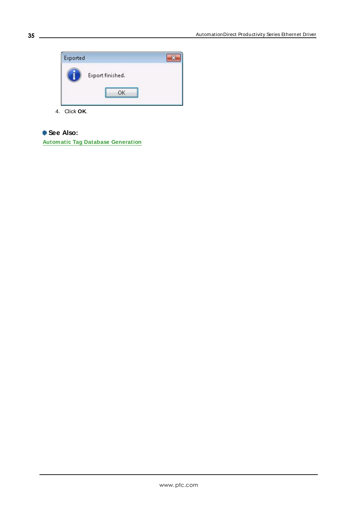

4. Click **OK**.

### **See Also:**

**Automatic Tag Database [Generation](#page-16-0)**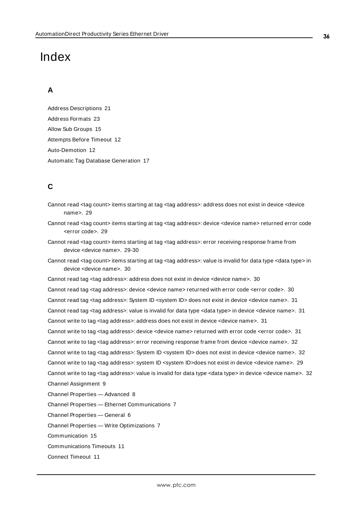## <span id="page-35-0"></span>Index

### **A**

Address Descriptions [21](#page-20-0) Address Formats [23](#page-22-1) Allow Sub Groups [15](#page-14-3) Attempts Before Timeout [12](#page-11-1) Auto-Demotion [12](#page-11-0) Automatic Tag Database Generation [17](#page-16-0)

### **C**

- Cannot read <tag count> items starting at tag <tag address>: address does not exist in device <device name>. [29](#page-28-0)
- Cannot read <tag count> items starting at tag <tag address>: device <device name> returned error code <error code>. [29](#page-28-1)
- Cannot read <tag count> items starting at tag <tag address>: error receiving response frame from device <device name>. [29-30](#page-28-2)
- Cannot read <tag count> items starting at tag <tag address>: value is invalid for data type <data type> in device <device name>. [30](#page-29-0)

Cannot read tag <tag address>: address does not exist in device <device name>. [30](#page-29-1) Cannot read tag <tag address>: device <device name> returned with error code <error code>. [30](#page-29-2) Cannot read tag <tag address>: System ID <system ID> does not exist in device <device name>. [31](#page-30-0) Cannot read tag <tag address>: value is invalid for data type <data type> in device <device name>. [31](#page-30-1) Cannot write to tag <tag address>: address does not exist in device <device name>. [31](#page-30-2) Cannot write to tag <tag address>: device <device name> returned with error code <error code>. [31](#page-30-3) Cannot write to tag <tag address>: error receiving response frame from device <device name>. [32](#page-31-0) Cannot write to tag <tag address>: System ID <system ID> does not exist in device <device name>. [32](#page-31-1) Cannot write to tag <tag address>: system ID <system ID>does not exist in device <device name>. [29](#page-28-3) Cannot write to tag <tag address>: value is invalid for data type <data type> in device <device name>. [32](#page-31-2) Channel Assignment [9](#page-8-1) Channel Properties — Advanced [8](#page-7-0) Channel Properties — Ethernet Communications [7](#page-6-1) Channel Properties — General [6](#page-5-0)

Channel Properties — Write Optimizations [7](#page-6-3)

Communication [15](#page-14-0)

Communications Timeouts [11](#page-10-1)

Connect Timeout [11](#page-10-2)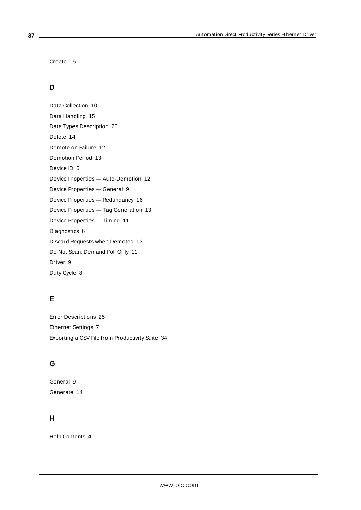Create [15](#page-14-4)

### **D**

Data Collection [10](#page-9-3) Data Handling [15](#page-14-1) Data Types Description [20](#page-19-0) Delete [14](#page-13-0) Demote on Failure [12](#page-11-2) Demotion Period [13](#page-12-1) Device ID [5](#page-4-1) Device Properties — Auto-Demotion [12](#page-11-0) Device Properties — General [9](#page-8-0) Device Properties — Redundancy [16](#page-15-0) Device Properties — Tag Generation [13](#page-12-0) Device Properties — Timing [11](#page-10-0) Diagnostics [6](#page-5-1) Discard Requests when Demoted [13](#page-12-2) Do Not Scan, Demand Poll Only [11](#page-10-3) Driver [9](#page-8-2) Duty Cycle [8](#page-7-1)

### **E**

Error Descriptions [25](#page-24-0) Ethernet Settings [7](#page-6-4) Exporting a CSV File from Productivity Suite [34](#page-33-0)

## **G**

General [9](#page-8-0) Generate [14](#page-13-1)

### **H**

Help Contents [4](#page-3-0)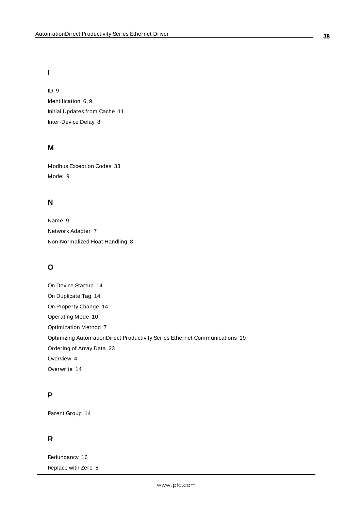### **I**

ID [9](#page-8-3) Identification [6](#page-5-2), [9](#page-8-4) Initial Updates from Cache [11](#page-10-4) Inter-Device Delay [8](#page-7-2)

### **M**

Modbus Exception Codes [33](#page-32-0) Model [9](#page-8-5)

### **N**

Name [9](#page-8-6) Network Adapter [7](#page-6-5) Non-Normalized Float Handling [8](#page-7-3)

### **O**

On Device Startup [14](#page-13-2) On Duplicate Tag [14](#page-13-3) On Property Change [14](#page-13-4) Operating Mode [10](#page-9-0) Optimization Method [7](#page-6-6) Optimizing AutomationDirect Productivity Series Ethernet Communications [19](#page-18-0) Ordering of Array Data [23](#page-22-0) Overview [4](#page-3-1) Overwrite [14](#page-13-5)

### **P**

Parent Group [14](#page-13-6)

### **R**

Redundancy [16](#page-15-0) Replace with Zero [8](#page-7-4)